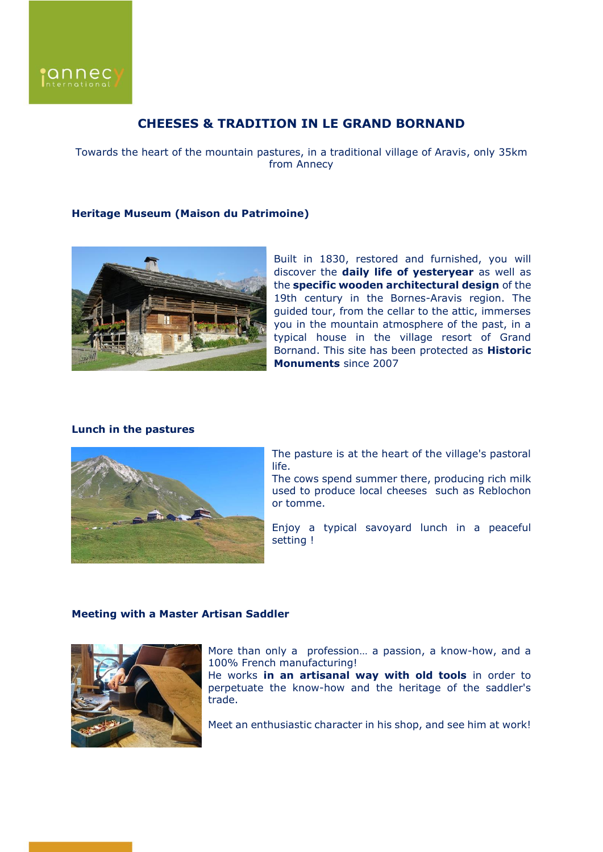

# **CHEESES & TRADITION IN LE GRAND BORNAND**

Towards the heart of the mountain pastures, in a traditional village of Aravis, only 35km from Annecy

#### **Heritage Museum (Maison du Patrimoine)**



Built in 1830, restored and furnished, you will discover the **daily life of yesteryear** as well as the **specific wooden architectural design** of the 19th century in the Bornes-Aravis region. The guided tour, from the cellar to the attic, immerses you in the mountain atmosphere of the past, in a typical house in the village resort of Grand Bornand. This site has been protected as **Historic Monuments** since 2007

### **Lunch in the pastures**



The pasture is at the heart of the village's pastoral life.

The cows spend summer there, producing rich milk used to produce local cheeses such as Reblochon or tomme.

Enjoy a typical savoyard lunch in a peaceful setting !

# **Meeting with a Master Artisan Saddler**



More than only a profession… a passion, a know-how, and a 100% French manufacturing!

He works **in an artisanal way with old tools** in order to perpetuate the know-how and the heritage of the saddler's trade.

Meet an enthusiastic character in his shop, and see him at work!